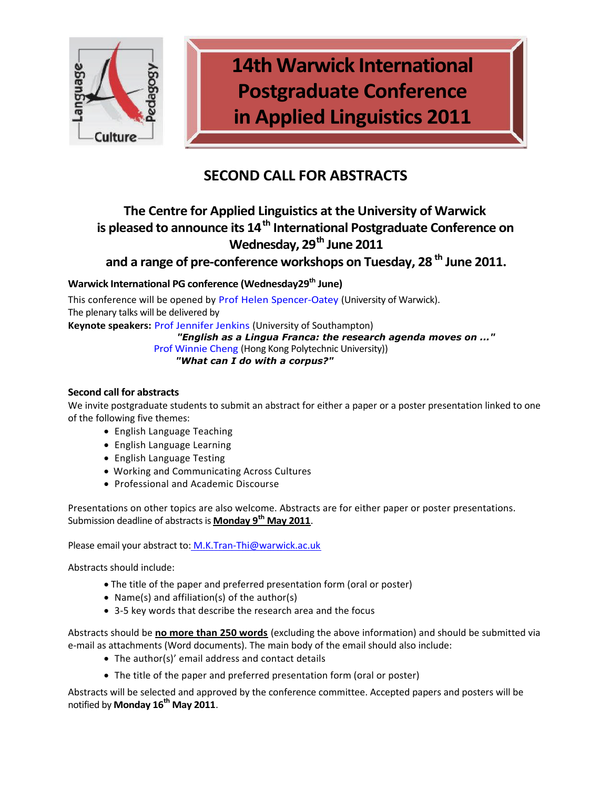

**14th Warwick International Postgraduate Conference in Applied Linguistics 2011**

# **SECOND CALL FOR ABSTRACTS**

# **The Centre for Applied Linguistics at the University of Warwick is pleased to announce its 14th International Postgraduate Conference on Wednesday, 29th June 2011**

**and a range of pre-conference workshops on Tuesday, 28 th June 2011.**

## **Warwick International PG conference (Wednesday29th June)**

This conference will be opened by Prof Helen Spencer-Oatey (University of Warwick). The plenary talks will be delivered by

**Keynote speakers:** Prof Jennifer Jenkins (University of Southampton)

## *"English as a Lingua Franca: the research agenda moves on ..."*

Prof Winnie Cheng (Hong Kong Polytechnic University))

*"What can I do with a corpus?"*

## **Second call for abstracts**

We invite postgraduate students to submit an abstract for either a paper or a poster presentation linked to one of the following five themes:

- English Language Teaching
- English Language Learning
- English Language Testing
- Working and Communicating Across Cultures
- Professional and Academic Discourse

Presentations on other topics are also welcome. Abstracts are for either paper or poster presentations. Submission deadline of abstracts is **Monday 9th May 2011**.

Please email your abstract to: [M.K.Tran-Thi@warwick.ac.uk](mailto:M.K.Tran-Thi@warwick.ac.uk)

Abstracts should include:

- The title of the paper and preferred presentation form (oral or poster)
- Name(s) and affiliation(s) of the author(s)
- 3-5 key words that describe the research area and the focus

Abstracts should be **no more than 250 words** (excluding the above information) and should be submitted via e-mail as attachments (Word documents). The main body of the email should also include:

- The author(s)' email address and contact details
- The title of the paper and preferred presentation form (oral or poster)

Abstracts will be selected and approved by the conference committee. Accepted papers and posters will be notified by **Monday 16th May 2011**.